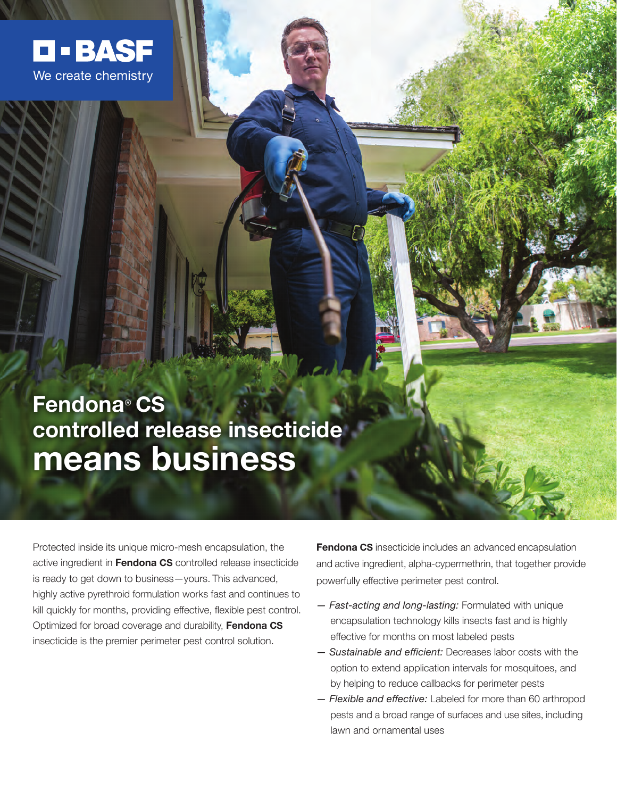

# **Fendona**® **CS controlled release insecticide means business**

Protected inside its unique micro-mesh encapsulation, the active ingredient in **Fendona CS** controlled release insecticide is ready to get down to business—yours. This advanced, highly active pyrethroid formulation works fast and continues to kill quickly for months, providing effective, flexible pest control. Optimized for broad coverage and durability, **Fendona CS** insecticide is the premier perimeter pest control solution.

**Fendona CS** insecticide includes an advanced encapsulation and active ingredient, alpha-cypermethrin, that together provide powerfully effective perimeter pest control.

- *Fast-acting and long-lasting:* Formulated with unique encapsulation technology kills insects fast and is highly effective for months on most labeled pests
- *Sustainable and efficient:* Decreases labor costs with the option to extend application intervals for mosquitoes, and by helping to reduce callbacks for perimeter pests
- *Flexible and effective:* Labeled for more than 60 arthropod pests and a broad range of surfaces and use sites, including lawn and ornamental uses